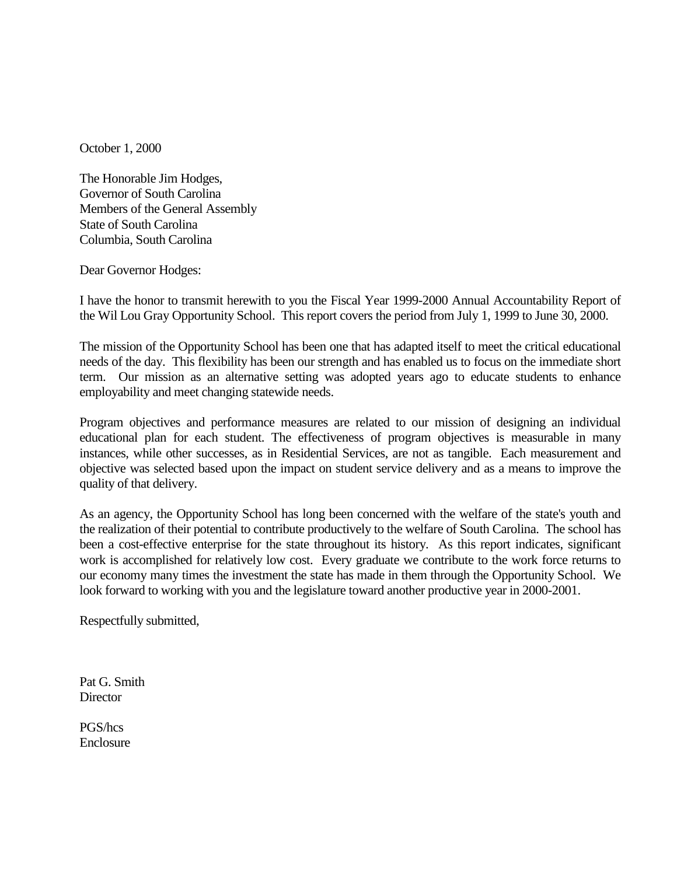October 1, 2000

The Honorable Jim Hodges, Governor of South Carolina Members of the General Assembly State of South Carolina Columbia, South Carolina

Dear Governor Hodges:

I have the honor to transmit herewith to you the Fiscal Year 1999-2000 Annual Accountability Report of the Wil Lou Gray Opportunity School. This report covers the period from July 1, 1999 to June 30, 2000.

The mission of the Opportunity School has been one that has adapted itself to meet the critical educational needs of the day. This flexibility has been our strength and has enabled us to focus on the immediate short term. Our mission as an alternative setting was adopted years ago to educate students to enhance employability and meet changing statewide needs.

Program objectives and performance measures are related to our mission of designing an individual educational plan for each student. The effectiveness of program objectives is measurable in many instances, while other successes, as in Residential Services, are not as tangible. Each measurement and objective was selected based upon the impact on student service delivery and as a means to improve the quality of that delivery.

As an agency, the Opportunity School has long been concerned with the welfare of the state's youth and the realization of their potential to contribute productively to the welfare of South Carolina. The school has been a cost-effective enterprise for the state throughout its history. As this report indicates, significant work is accomplished for relatively low cost. Every graduate we contribute to the work force returns to our economy many times the investment the state has made in them through the Opportunity School. We look forward to working with you and the legislature toward another productive year in 2000-2001.

Respectfully submitted,

Pat G. Smith **Director** 

PGS/hcs Enclosure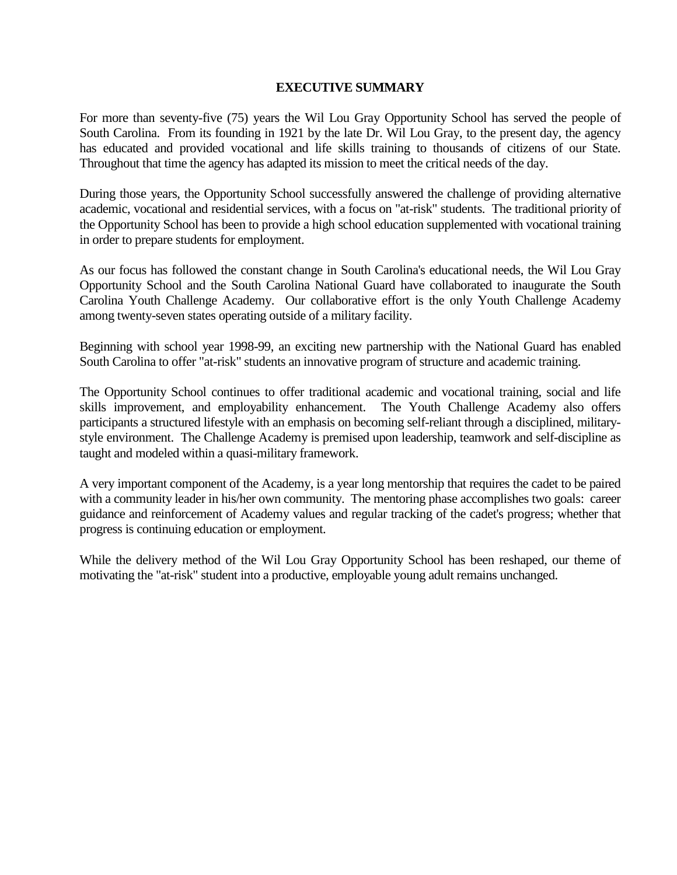#### **EXECUTIVE SUMMARY**

For more than seventy-five (75) years the Wil Lou Gray Opportunity School has served the people of South Carolina. From its founding in 1921 by the late Dr. Wil Lou Gray, to the present day, the agency has educated and provided vocational and life skills training to thousands of citizens of our State. Throughout that time the agency has adapted its mission to meet the critical needs of the day.

During those years, the Opportunity School successfully answered the challenge of providing alternative academic, vocational and residential services, with a focus on "at-risk" students. The traditional priority of the Opportunity School has been to provide a high school education supplemented with vocational training in order to prepare students for employment.

As our focus has followed the constant change in South Carolina's educational needs, the Wil Lou Gray Opportunity School and the South Carolina National Guard have collaborated to inaugurate the South Carolina Youth Challenge Academy. Our collaborative effort is the only Youth Challenge Academy among twenty-seven states operating outside of a military facility.

Beginning with school year 1998-99, an exciting new partnership with the National Guard has enabled South Carolina to offer "at-risk" students an innovative program of structure and academic training.

The Opportunity School continues to offer traditional academic and vocational training, social and life skills improvement, and employability enhancement. The Youth Challenge Academy also offers participants a structured lifestyle with an emphasis on becoming self-reliant through a disciplined, militarystyle environment. The Challenge Academy is premised upon leadership, teamwork and self-discipline as taught and modeled within a quasi-military framework.

A very important component of the Academy, is a year long mentorship that requires the cadet to be paired with a community leader in his/her own community. The mentoring phase accomplishes two goals: career guidance and reinforcement of Academy values and regular tracking of the cadet's progress; whether that progress is continuing education or employment.

While the delivery method of the Wil Lou Gray Opportunity School has been reshaped, our theme of motivating the "at-risk" student into a productive, employable young adult remains unchanged.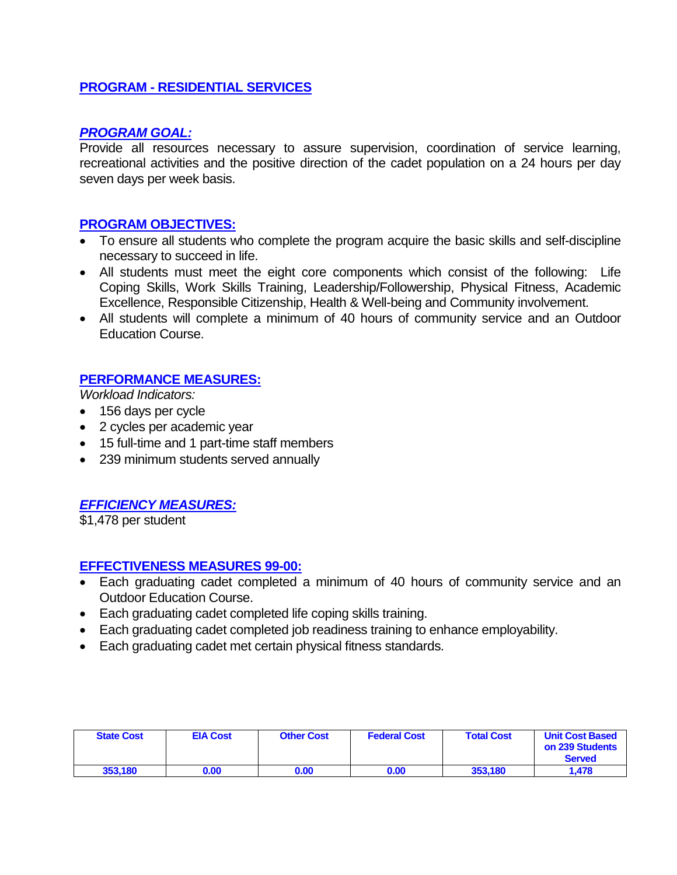### **PROGRAM - RESIDENTIAL SERVICES**

### *PROGRAM GOAL:*

Provide all resources necessary to assure supervision, coordination of service learning, recreational activities and the positive direction of the cadet population on a 24 hours per day seven days per week basis.

### **PROGRAM OBJECTIVES:**

- To ensure all students who complete the program acquire the basic skills and self-discipline necessary to succeed in life.
- All students must meet the eight core components which consist of the following: Life Coping Skills, Work Skills Training, Leadership/Followership, Physical Fitness, Academic Excellence, Responsible Citizenship, Health & Well-being and Community involvement.
- All students will complete a minimum of 40 hours of community service and an Outdoor Education Course.

### **PERFORMANCE MEASURES:**

*Workload Indicators:*

- 156 days per cycle
- 2 cycles per academic year
- 15 full-time and 1 part-time staff members
- 239 minimum students served annually

### *EFFICIENCY MEASURES:*

\$1,478 per student

### **EFFECTIVENESS MEASURES 99-00:**

- Each graduating cadet completed a minimum of 40 hours of community service and an Outdoor Education Course.
- Each graduating cadet completed life coping skills training.
- Each graduating cadet completed job readiness training to enhance employability.
- Each graduating cadet met certain physical fitness standards.

| <b>State Cost</b> | <b>EIA Cost</b> | <b>Other Cost</b> | <b>Federal Cost</b> | <b>Total Cost</b> | <b>Unit Cost Based</b><br>on 239 Students<br><b>Served</b> |
|-------------------|-----------------|-------------------|---------------------|-------------------|------------------------------------------------------------|
| 353.180           | 0.00            | 0.00              | 0.00                | 353,180           | 1.478                                                      |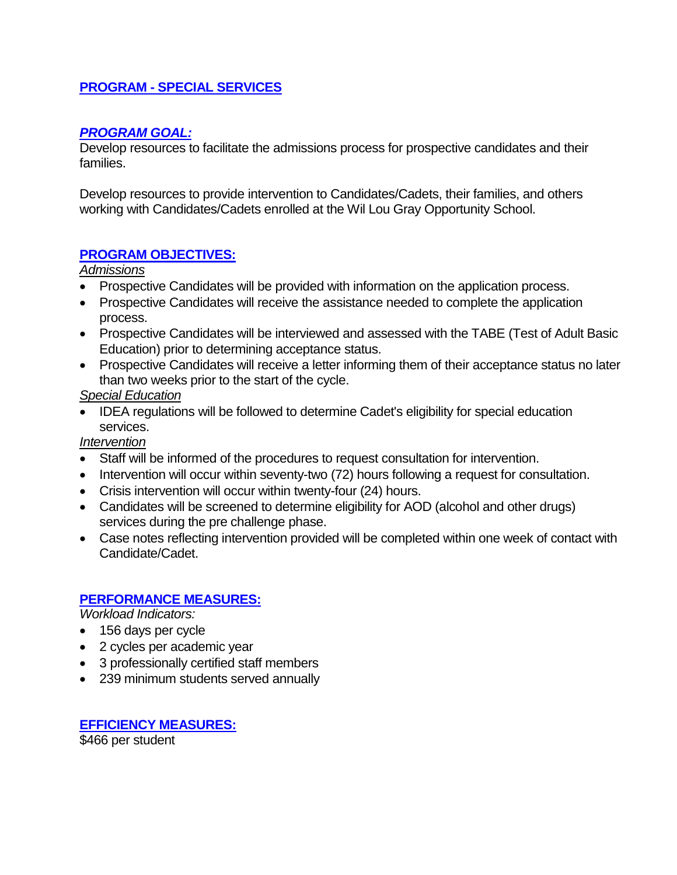### **PROGRAM - SPECIAL SERVICES**

### *PROGRAM GOAL:*

Develop resources to facilitate the admissions process for prospective candidates and their families.

Develop resources to provide intervention to Candidates/Cadets, their families, and others working with Candidates/Cadets enrolled at the Wil Lou Gray Opportunity School.

### **PROGRAM OBJECTIVES:**

*Admissions*

- Prospective Candidates will be provided with information on the application process.
- Prospective Candidates will receive the assistance needed to complete the application process.
- Prospective Candidates will be interviewed and assessed with the TABE (Test of Adult Basic Education) prior to determining acceptance status.
- Prospective Candidates will receive a letter informing them of their acceptance status no later than two weeks prior to the start of the cycle.

*Special Education*

• IDEA regulations will be followed to determine Cadet's eligibility for special education services.

### *Intervention*

- Staff will be informed of the procedures to request consultation for intervention.
- Intervention will occur within seventy-two (72) hours following a request for consultation.
- Crisis intervention will occur within twenty-four (24) hours.
- Candidates will be screened to determine eligibility for AOD (alcohol and other drugs) services during the pre challenge phase.
- Case notes reflecting intervention provided will be completed within one week of contact with Candidate/Cadet.

### **PERFORMANCE MEASURES:**

*Workload Indicators:*

- 156 days per cycle
- 2 cycles per academic year
- 3 professionally certified staff members
- 239 minimum students served annually

**EFFICIENCY MEASURES:** \$466 per student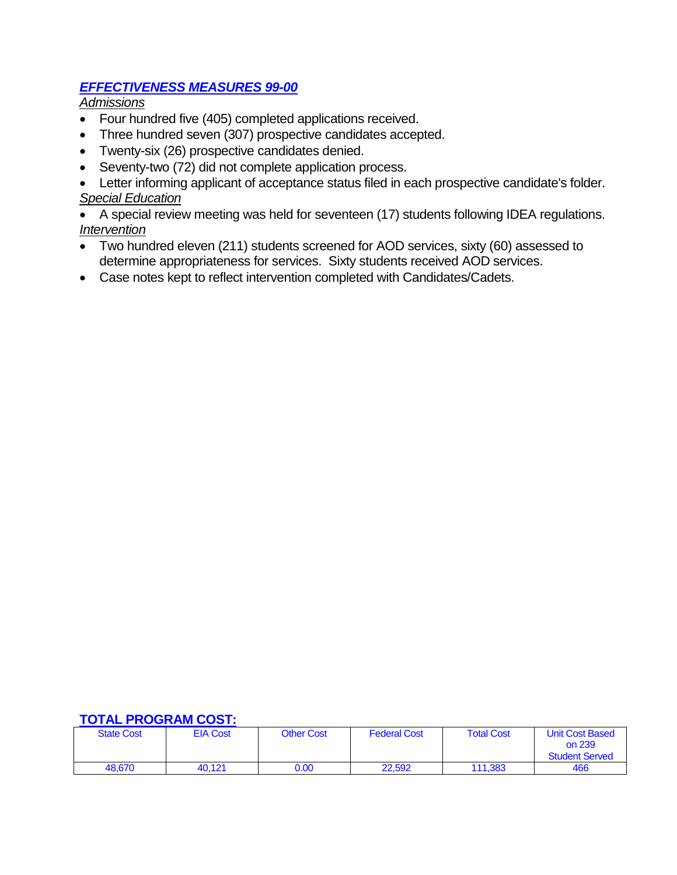## *EFFECTIVENESS MEASURES 99-00*

*Admissions*

- Four hundred five (405) completed applications received.
- Three hundred seven (307) prospective candidates accepted.
- Twenty-six (26) prospective candidates denied.
- Seventy-two (72) did not complete application process.

• Letter informing applicant of acceptance status filed in each prospective candidate's folder. *Special Education*

• A special review meeting was held for seventeen (17) students following IDEA regulations. *Intervention*

- Two hundred eleven (211) students screened for AOD services, sixty (60) assessed to determine appropriateness for services. Sixty students received AOD services.
- Case notes kept to reflect intervention completed with Candidates/Cadets.

| <b>State Cost</b> | <b>EIA Cost</b> | <b>Other Cost</b> | <b>Federal Cost</b> | <b>Total Cost</b> | <b>Unit Cost Based</b><br>on 239<br><b>Student Served</b> |
|-------------------|-----------------|-------------------|---------------------|-------------------|-----------------------------------------------------------|
| 48.670            | 40.121          | 0.00              | 22.592              | 111.383           | 466                                                       |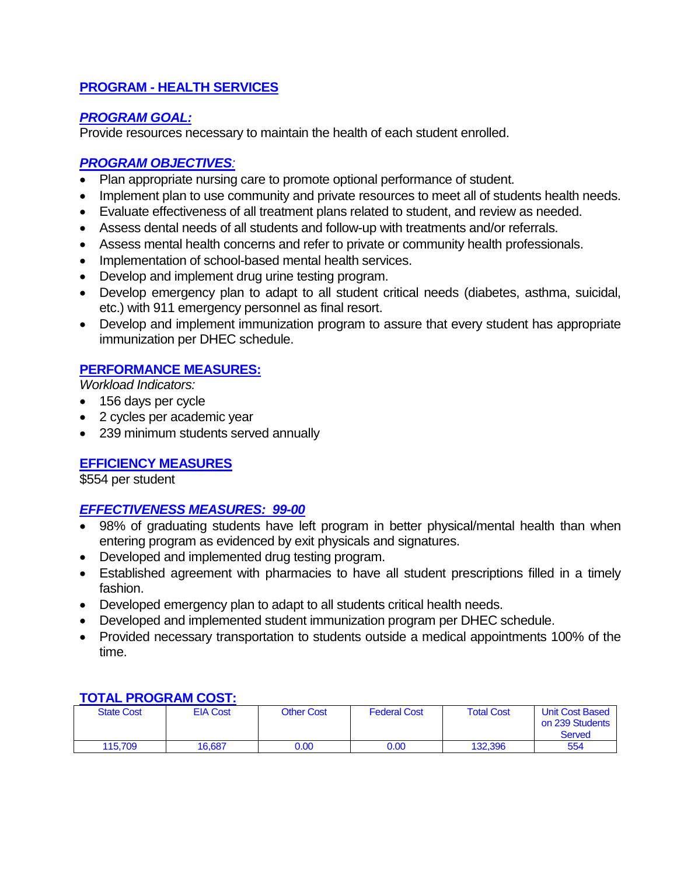# **PROGRAM - HEALTH SERVICES**

### *PROGRAM GOAL:*

Provide resources necessary to maintain the health of each student enrolled.

### *PROGRAM OBJECTIVES:*

- Plan appropriate nursing care to promote optional performance of student.
- Implement plan to use community and private resources to meet all of students health needs.
- Evaluate effectiveness of all treatment plans related to student, and review as needed.
- Assess dental needs of all students and follow-up with treatments and/or referrals.
- Assess mental health concerns and refer to private or community health professionals.
- Implementation of school-based mental health services.
- Develop and implement drug urine testing program.
- Develop emergency plan to adapt to all student critical needs (diabetes, asthma, suicidal, etc.) with 911 emergency personnel as final resort.
- Develop and implement immunization program to assure that every student has appropriate immunization per DHEC schedule.

### **PERFORMANCE MEASURES:**

*Workload Indicators:*

- 156 days per cycle
- 2 cycles per academic year
- 239 minimum students served annually

### **EFFICIENCY MEASURES**

\$554 per student

### *EFFECTIVENESS MEASURES: 99-00*

- 98% of graduating students have left program in better physical/mental health than when entering program as evidenced by exit physicals and signatures.
- Developed and implemented drug testing program.
- Established agreement with pharmacies to have all student prescriptions filled in a timely fashion.
- Developed emergency plan to adapt to all students critical health needs.
- Developed and implemented student immunization program per DHEC schedule.
- Provided necessary transportation to students outside a medical appointments 100% of the time.

| <b>State Cost</b> | <b>EIA Cost</b> | <b>Other Cost</b> | <b>Federal Cost</b> | <b>Total Cost</b> | <b>Unit Cost Based</b><br>on 239 Students<br>Served |
|-------------------|-----------------|-------------------|---------------------|-------------------|-----------------------------------------------------|
| 115.709           | 16.687          | 0.00              | 0.00                | 132.396           | 554                                                 |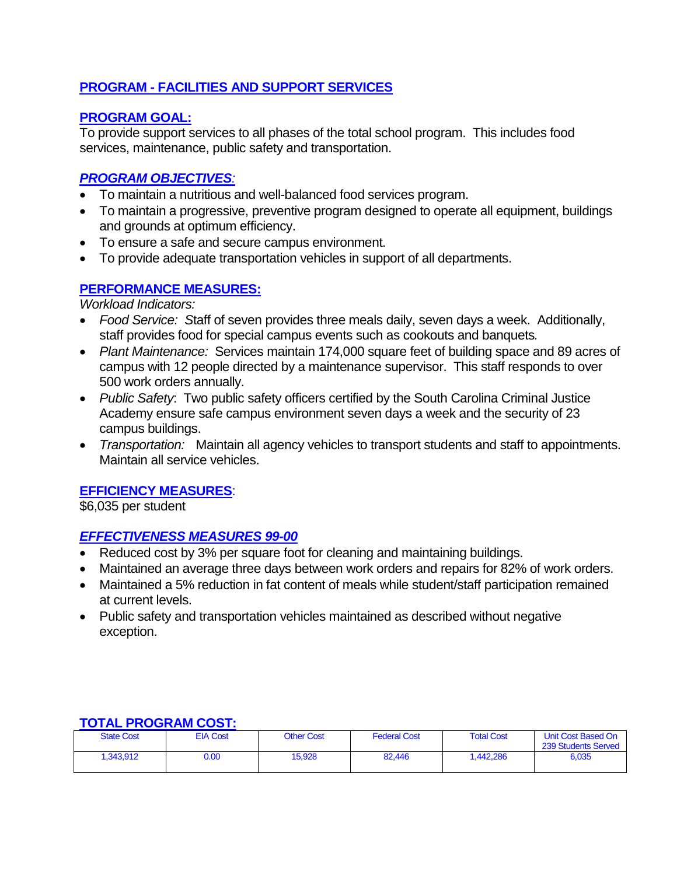## **PROGRAM - FACILITIES AND SUPPORT SERVICES**

## **PROGRAM GOAL:**

To provide support services to all phases of the total school program. This includes food services, maintenance, public safety and transportation.

## *PROGRAM OBJECTIVES:*

- To maintain a nutritious and well-balanced food services program.
- To maintain a progressive, preventive program designed to operate all equipment, buildings and grounds at optimum efficiency.
- To ensure a safe and secure campus environment.
- To provide adequate transportation vehicles in support of all departments.

### **PERFORMANCE MEASURES:**

*Workload Indicators:*

- *Food Service: S*taff of seven provides three meals daily, seven days a week. Additionally, staff provides food for special campus events such as cookouts and banquets*.*
- *Plant Maintenance:* Services maintain 174,000 square feet of building space and 89 acres of campus with 12 people directed by a maintenance supervisor. This staff responds to over 500 work orders annually.
- *Public Safety*: Two public safety officers certified by the South Carolina Criminal Justice Academy ensure safe campus environment seven days a week and the security of 23 campus buildings.
- *Transportation:* Maintain all agency vehicles to transport students and staff to appointments. Maintain all service vehicles.

### **EFFICIENCY MEASURES**:

\$6,035 per student

### *EFFECTIVENESS MEASURES 99-00*

- Reduced cost by 3% per square foot for cleaning and maintaining buildings.
- Maintained an average three days between work orders and repairs for 82% of work orders.
- Maintained a 5% reduction in fat content of meals while student/staff participation remained at current levels.
- Public safety and transportation vehicles maintained as described without negative exception.

|                   | 1916   1199116111 9991. |                   |                     |                   |                                           |  |  |  |
|-------------------|-------------------------|-------------------|---------------------|-------------------|-------------------------------------------|--|--|--|
| <b>State Cost</b> | <b>EIA Cost</b>         | <b>Other Cost</b> | <b>Federal Cost</b> | <b>Total Cost</b> | Unit Cost Based On<br>239 Students Served |  |  |  |
| 1,343,912         | 0.00                    | 15.928            | 82.446              | 1.442.286         | 6,035                                     |  |  |  |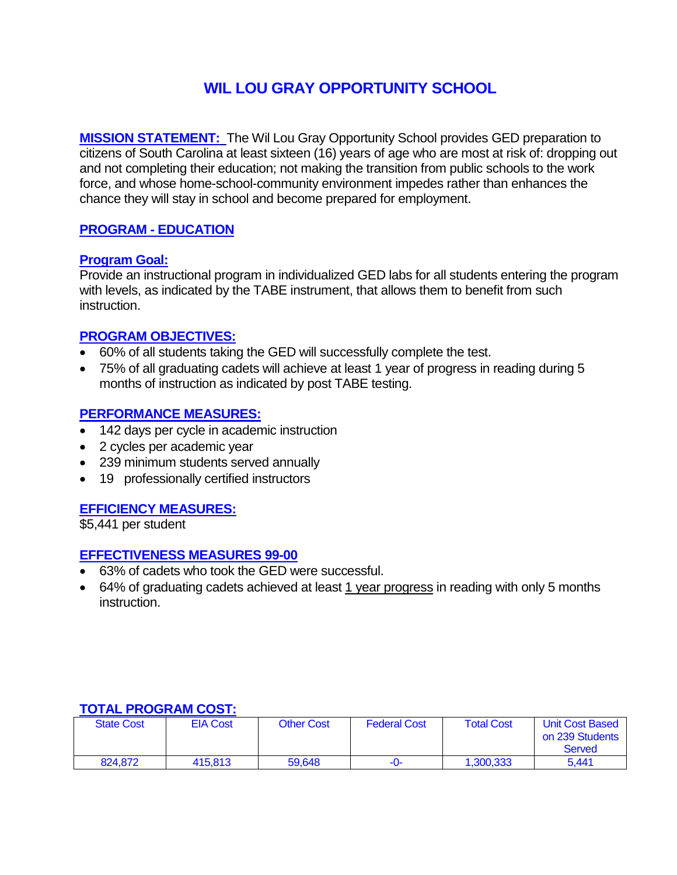# **WIL LOU GRAY OPPORTUNITY SCHOOL**

**MISSION STATEMENT:** The Wil Lou Gray Opportunity School provides GED preparation to citizens of South Carolina at least sixteen (16) years of age who are most at risk of: dropping out and not completing their education; not making the transition from public schools to the work force, and whose home-school-community environment impedes rather than enhances the chance they will stay in school and become prepared for employment.

### **PROGRAM - EDUCATION**

### **Program Goal:**

Provide an instructional program in individualized GED labs for all students entering the program with levels, as indicated by the TABE instrument, that allows them to benefit from such instruction.

### **PROGRAM OBJECTIVES:**

- 60% of all students taking the GED will successfully complete the test.
- 75% of all graduating cadets will achieve at least 1 year of progress in reading during 5 months of instruction as indicated by post TABE testing.

### **PERFORMANCE MEASURES:**

- 142 days per cycle in academic instruction
- 2 cycles per academic year
- 239 minimum students served annually
- 19 professionally certified instructors

### **EFFICIENCY MEASURES:**

\$5,441 per student

### **EFFECTIVENESS MEASURES 99-00**

- 63% of cadets who took the GED were successful.
- 64% of graduating cadets achieved at least 1 year progress in reading with only 5 months instruction.

| <b>State Cost</b> | <b>EIA Cost</b> | <b>Other Cost</b> | <b>Federal Cost</b> | <b>Total Cost</b> | <b>Unit Cost Based</b><br>on 239 Students<br>Served |
|-------------------|-----------------|-------------------|---------------------|-------------------|-----------------------------------------------------|
| 824.872           | 415.813         | 59.648            | -0-                 | 1.300.333         | 5.441                                               |